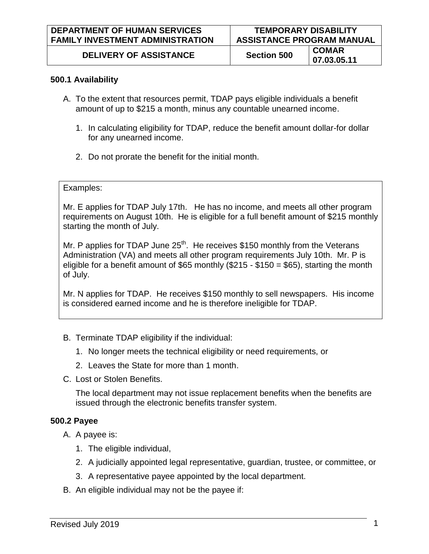## **500.1 Availability**

- A. To the extent that resources permit, TDAP pays eligible individuals a benefit amount of up to \$215 a month, minus any countable unearned income.
	- 1. In calculating eligibility for TDAP, reduce the benefit amount dollar-for dollar for any unearned income.
	- 2. Do not prorate the benefit for the initial month.

## Examples:

Mr. E applies for TDAP July 17th. He has no income, and meets all other program requirements on August 10th. He is eligible for a full benefit amount of \$215 monthly starting the month of July.

Mr. P applies for TDAP June  $25<sup>th</sup>$ . He receives \$150 monthly from the Veterans Administration (VA) and meets all other program requirements July 10th. Mr. P is eligible for a benefit amount of \$65 monthly (\$215 - \$150 = \$65), starting the month of July.

Mr. N applies for TDAP. He receives \$150 monthly to sell newspapers. His income is considered earned income and he is therefore ineligible for TDAP.

- B. Terminate TDAP eligibility if the individual:
	- 1. No longer meets the technical eligibility or need requirements, or
	- 2. Leaves the State for more than 1 month.
- C. Lost or Stolen Benefits.

The local department may not issue replacement benefits when the benefits are issued through the electronic benefits transfer system.

## **500.2 Payee**

- A. A payee is:
	- 1. The eligible individual,
	- 2. A judicially appointed legal representative, guardian, trustee, or committee, or
	- 3. A representative payee appointed by the local department.
- B. An eligible individual may not be the payee if: